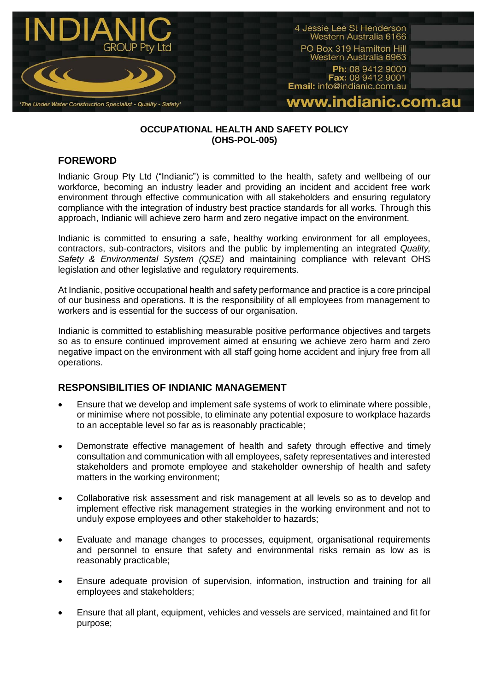

### **OCCUPATIONAL HEALTH AND SAFETY POLICY (OHS-POL-005)**

## **FOREWORD**

Indianic Group Pty Ltd ("Indianic") is committed to the health, safety and wellbeing of our workforce, becoming an industry leader and providing an incident and accident free work environment through effective communication with all stakeholders and ensuring regulatory compliance with the integration of industry best practice standards for all works. Through this approach, Indianic will achieve zero harm and zero negative impact on the environment.

Indianic is committed to ensuring a safe, healthy working environment for all employees, contractors, sub-contractors, visitors and the public by implementing an integrated *Quality, Safety & Environmental System (QSE)* and maintaining compliance with relevant OHS legislation and other legislative and regulatory requirements.

At Indianic, positive occupational health and safety performance and practice is a core principal of our business and operations. It is the responsibility of all employees from management to workers and is essential for the success of our organisation.

Indianic is committed to establishing measurable positive performance objectives and targets so as to ensure continued improvement aimed at ensuring we achieve zero harm and zero negative impact on the environment with all staff going home accident and injury free from all operations.

## **RESPONSIBILITIES OF INDIANIC MANAGEMENT**

- Ensure that we develop and implement safe systems of work to eliminate where possible, or minimise where not possible, to eliminate any potential exposure to workplace hazards to an acceptable level so far as is reasonably practicable;
- Demonstrate effective management of health and safety through effective and timely consultation and communication with all employees, safety representatives and interested stakeholders and promote employee and stakeholder ownership of health and safety matters in the working environment;
- Collaborative risk assessment and risk management at all levels so as to develop and implement effective risk management strategies in the working environment and not to unduly expose employees and other stakeholder to hazards;
- Evaluate and manage changes to processes, equipment, organisational requirements and personnel to ensure that safety and environmental risks remain as low as is reasonably practicable;
- Ensure adequate provision of supervision, information, instruction and training for all employees and stakeholders;
- Ensure that all plant, equipment, vehicles and vessels are serviced, maintained and fit for purpose;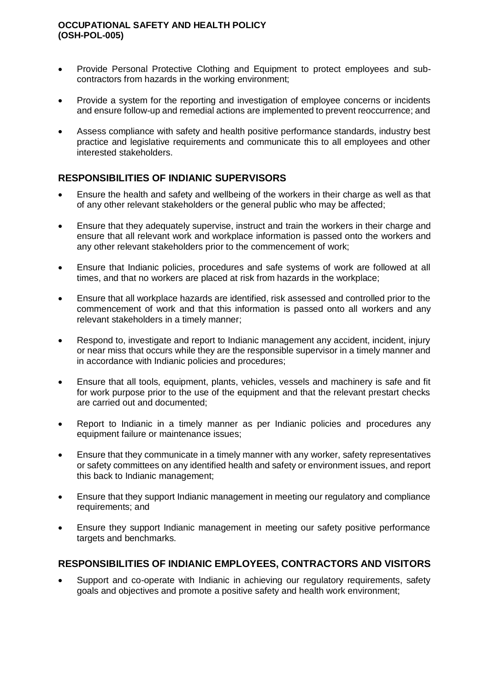#### **OCCUPATIONAL SAFETY AND HEALTH POLICY (OSH-POL-005)**

- Provide Personal Protective Clothing and Equipment to protect employees and subcontractors from hazards in the working environment;
- Provide a system for the reporting and investigation of employee concerns or incidents and ensure follow-up and remedial actions are implemented to prevent reoccurrence; and
- Assess compliance with safety and health positive performance standards, industry best practice and legislative requirements and communicate this to all employees and other interested stakeholders.

# **RESPONSIBILITIES OF INDIANIC SUPERVISORS**

- Ensure the health and safety and wellbeing of the workers in their charge as well as that of any other relevant stakeholders or the general public who may be affected;
- Ensure that they adequately supervise, instruct and train the workers in their charge and ensure that all relevant work and workplace information is passed onto the workers and any other relevant stakeholders prior to the commencement of work;
- Ensure that Indianic policies, procedures and safe systems of work are followed at all times, and that no workers are placed at risk from hazards in the workplace;
- Ensure that all workplace hazards are identified, risk assessed and controlled prior to the commencement of work and that this information is passed onto all workers and any relevant stakeholders in a timely manner;
- Respond to, investigate and report to Indianic management any accident, incident, injury or near miss that occurs while they are the responsible supervisor in a timely manner and in accordance with Indianic policies and procedures;
- Ensure that all tools, equipment, plants, vehicles, vessels and machinery is safe and fit for work purpose prior to the use of the equipment and that the relevant prestart checks are carried out and documented;
- Report to Indianic in a timely manner as per Indianic policies and procedures any equipment failure or maintenance issues;
- Ensure that they communicate in a timely manner with any worker, safety representatives or safety committees on any identified health and safety or environment issues, and report this back to Indianic management;
- Ensure that they support Indianic management in meeting our regulatory and compliance requirements; and
- Ensure they support Indianic management in meeting our safety positive performance targets and benchmarks.

## **RESPONSIBILITIES OF INDIANIC EMPLOYEES, CONTRACTORS AND VISITORS**

 Support and co-operate with Indianic in achieving our regulatory requirements, safety goals and objectives and promote a positive safety and health work environment;